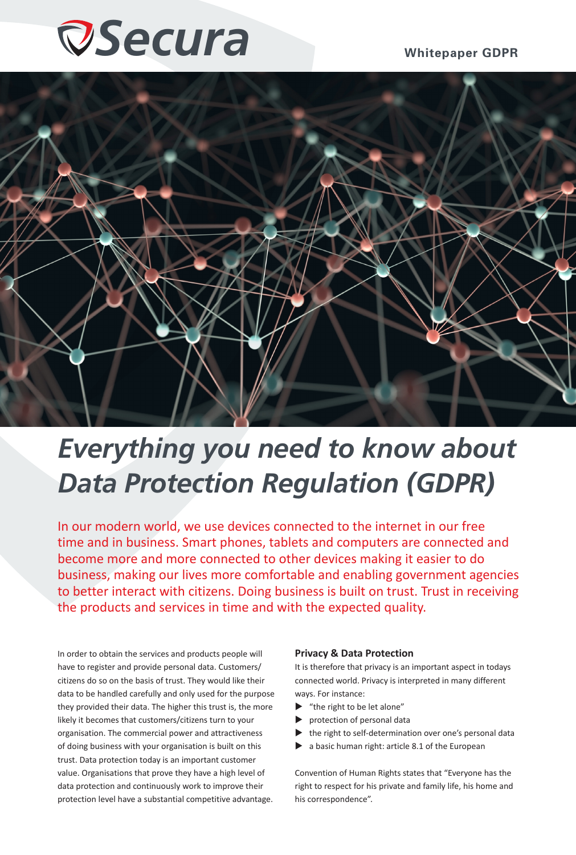## *Secura* **Whitepaper GDPR**



## *Everything you need to know about Data Protection Regulation (GDPR)*

In our modern world, we use devices connected to the internet in our free time and in business. Smart phones, tablets and computers are connected and become more and more connected to other devices making it easier to do business, making our lives more comfortable and enabling government agencies to better interact with citizens. Doing business is built on trust. Trust in receiving the products and services in time and with the expected quality.

In order to obtain the services and products people will have to register and provide personal data. Customers/ citizens do so on the basis of trust. They would like their data to be handled carefully and only used for the purpose they provided their data. The higher this trust is, the more likely it becomes that customers/citizens turn to your organisation. The commercial power and attractiveness of doing business with your organisation is built on this trust. Data protection today is an important customer value. Organisations that prove they have a high level of data protection and continuously work to improve their protection level have a substantial competitive advantage.

#### **Privacy & Data Protection**

It is therefore that privacy is an important aspect in todays connected world. Privacy is interpreted in many different ways. For instance:

- "the right to be let alone"
- protection of personal data
- the right to self-determination over one's personal data
- $\blacktriangleright$  a basic human right: article 8.1 of the European

Convention of Human Rights states that "Everyone has the right to respect for his private and family life, his home and his correspondence".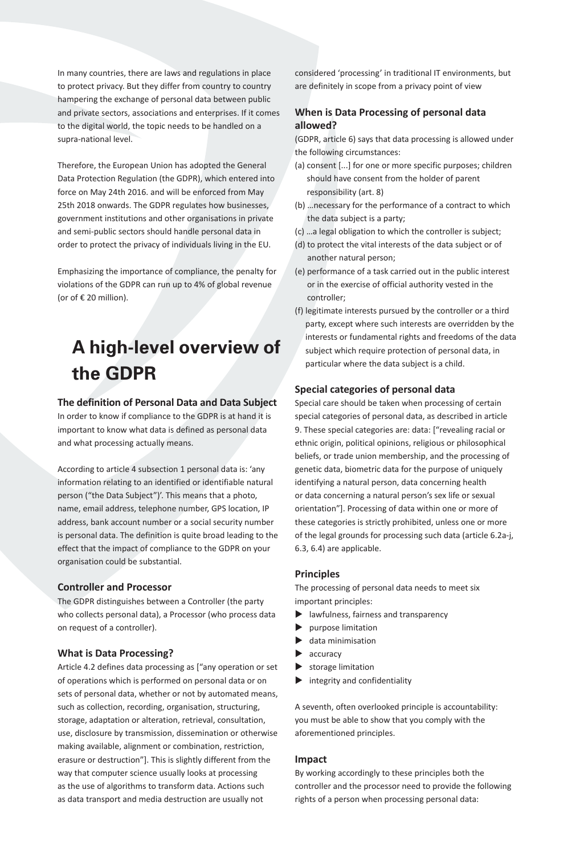In many countries, there are laws and regulations in place to protect privacy. But they differ from country to country hampering the exchange of personal data between public and private sectors, associations and enterprises. If it comes to the digital world, the topic needs to be handled on a supra-national level.

Therefore, the European Union has adopted the General Data Protection Regulation (the GDPR), which entered into force on May 24th 2016. and will be enforced from May 25th 2018 onwards. The GDPR regulates how businesses, government institutions and other organisations in private and semi-public sectors should handle personal data in order to protect the privacy of individuals living in the EU.

Emphasizing the importance of compliance, the penalty for violations of the GDPR can run up to 4% of global revenue (or of € 20 million).

## **A high-level overview of the GDPR**

#### **The definition of Personal Data and Data Subject**

In order to know if compliance to the GDPR is at hand it is important to know what data is defined as personal data and what processing actually means.

According to article 4 subsection 1 personal data is: 'any information relating to an identified or identifiable natural person ("the Data Subject")'. This means that a photo, name, email address, telephone number, GPS location, IP address, bank account number or a social security number is personal data. The definition is quite broad leading to the effect that the impact of compliance to the GDPR on your organisation could be substantial.

#### **Controller and Processor**

The GDPR distinguishes between a Controller (the party who collects personal data), a Processor (who process data on request of a controller).

#### **What is Data Processing?**

Article 4.2 defines data processing as ["any operation or set of operations which is performed on personal data or on sets of personal data, whether or not by automated means, such as collection, recording, organisation, structuring, storage, adaptation or alteration, retrieval, consultation, use, disclosure by transmission, dissemination or otherwise making available, alignment or combination, restriction, erasure or destruction"]. This is slightly different from the way that computer science usually looks at processing as the use of algorithms to transform data. Actions such as data transport and media destruction are usually not

considered 'processing' in traditional IT environments, but are definitely in scope from a privacy point of view

### **When is Data Processing of personal data allowed?**

(GDPR, article 6) says that data processing is allowed under the following circumstances:

- (a) consent [...] for one or more specific purposes; children should have consent from the holder of parent responsibility (art. 8)
- (b) …necessary for the performance of a contract to which the data subject is a party;
- (c) …a legal obligation to which the controller is subject;
- (d) to protect the vital interests of the data subject or of another natural person;
- (e) performance of a task carried out in the public interest or in the exercise of official authority vested in the controller;
- (f) legitimate interests pursued by the controller or a third party, except where such interests are overridden by the interests or fundamental rights and freedoms of the data subject which require protection of personal data, in particular where the data subject is a child.

#### **Special categories of personal data**

Special care should be taken when processing of certain special categories of personal data, as described in article 9. These special categories are: data: ["revealing racial or ethnic origin, political opinions, religious or philosophical beliefs, or trade union membership, and the processing of genetic data, biometric data for the purpose of uniquely identifying a natural person, data concerning health or data concerning a natural person's sex life or sexual orientation"]. Processing of data within one or more of these categories is strictly prohibited, unless one or more of the legal grounds for processing such data (article 6.2a-j, 6.3, 6.4) are applicable.

#### **Principles**

The processing of personal data needs to meet six important principles:

- $\blacktriangleright$  lawfulness, fairness and transparency
- u purpose limitation
- data minimisation
- accuracy
- $\blacktriangleright$  storage limitation
- integrity and confidentiality

A seventh, often overlooked principle is accountability: you must be able to show that you comply with the aforementioned principles.

#### **Impact**

By working accordingly to these principles both the controller and the processor need to provide the following rights of a person when processing personal data: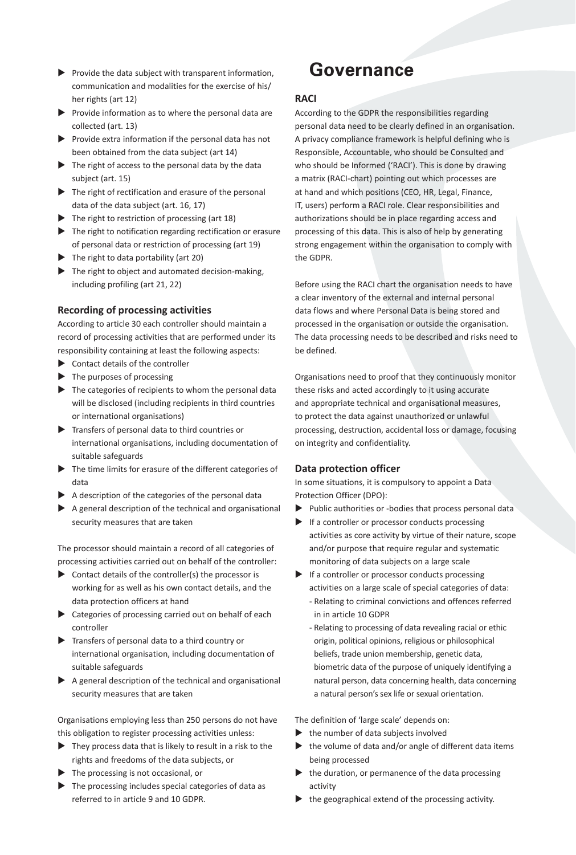- $\blacktriangleright$  Provide the data subject with transparent information, communication and modalities for the exercise of his/ her rights (art 12)
- $\blacktriangleright$  Provide information as to where the personal data are collected (art. 13)
- $\blacktriangleright$  Provide extra information if the personal data has not been obtained from the data subject (art 14)
- $\blacktriangleright$  The right of access to the personal data by the data subject (art. 15)
- $\blacktriangleright$  The right of rectification and erasure of the personal data of the data subject (art. 16, 17)
- $\blacktriangleright$  The right to restriction of processing (art 18)
- $\blacktriangleright$  The right to notification regarding rectification or erasure of personal data or restriction of processing (art 19)
- $\blacktriangleright$  The right to data portability (art 20)
- $\blacktriangleright$  The right to object and automated decision-making, including profiling (art 21, 22)

#### **Recording of processing activities**

According to article 30 each controller should maintain a record of processing activities that are performed under its responsibility containing at least the following aspects:

- $\triangleright$  Contact details of the controller
- $\blacktriangleright$  The purposes of processing
- $\blacktriangleright$  The categories of recipients to whom the personal data will be disclosed (including recipients in third countries or international organisations)
- $\blacktriangleright$  Transfers of personal data to third countries or international organisations, including documentation of suitable safeguards
- $\blacktriangleright$  The time limits for erasure of the different categories of data
- $\blacktriangleright$  A description of the categories of the personal data
- $\blacktriangleright$  A general description of the technical and organisational security measures that are taken

The processor should maintain a record of all categories of processing activities carried out on behalf of the controller:

- $\triangleright$  Contact details of the controller(s) the processor is working for as well as his own contact details, and the data protection officers at hand
- $\blacktriangleright$  Categories of processing carried out on behalf of each controller
- $\blacktriangleright$  Transfers of personal data to a third country or international organisation, including documentation of suitable safeguards
- $\blacktriangleright$  A general description of the technical and organisational security measures that are taken

Organisations employing less than 250 persons do not have this obligation to register processing activities unless:

- $\blacktriangleright$  They process data that is likely to result in a risk to the rights and freedoms of the data subjects, or
- $\blacktriangleright$  The processing is not occasional, or
- $\blacktriangleright$  The processing includes special categories of data as referred to in article 9 and 10 GDPR.

## **Governance**

#### **RACI**

According to the GDPR the responsibilities regarding personal data need to be clearly defined in an organisation. A privacy compliance framework is helpful defining who is Responsible, Accountable, who should be Consulted and who should be Informed ('RACI'). This is done by drawing a matrix (RACI-chart) pointing out which processes are at hand and which positions (CEO, HR, Legal, Finance, IT, users) perform a RACI role. Clear responsibilities and authorizations should be in place regarding access and processing of this data. This is also of help by generating strong engagement within the organisation to comply with the GDPR.

Before using the RACI chart the organisation needs to have a clear inventory of the external and internal personal data flows and where Personal Data is being stored and processed in the organisation or outside the organisation. The data processing needs to be described and risks need to be defined.

Organisations need to proof that they continuously monitor these risks and acted accordingly to it using accurate and appropriate technical and organisational measures, to protect the data against unauthorized or unlawful processing, destruction, accidental loss or damage, focusing on integrity and confidentiality.

#### **Data protection officer**

In some situations, it is compulsory to appoint a Data Protection Officer (DPO):

- $\blacktriangleright$  Public authorities or -bodies that process personal data
- $\blacktriangleright$  If a controller or processor conducts processing activities as core activity by virtue of their nature, scope and/or purpose that require regular and systematic monitoring of data subjects on a large scale
- $\blacktriangleright$  If a controller or processor conducts processing activities on a large scale of special categories of data: - Relating to criminal convictions and offences referred in in article 10 GDPR
	- Relating to processing of data revealing racial or ethic origin, political opinions, religious or philosophical beliefs, trade union membership, genetic data, biometric data of the purpose of uniquely identifying a natural person, data concerning health, data concerning a natural person's sex life or sexual orientation.

The definition of 'large scale' depends on:

- $\blacktriangleright$  the number of data subjects involved
- $\blacktriangleright$  the volume of data and/or angle of different data items being processed
- $\blacktriangleright$  the duration, or permanence of the data processing activity
- the geographical extend of the processing activity.